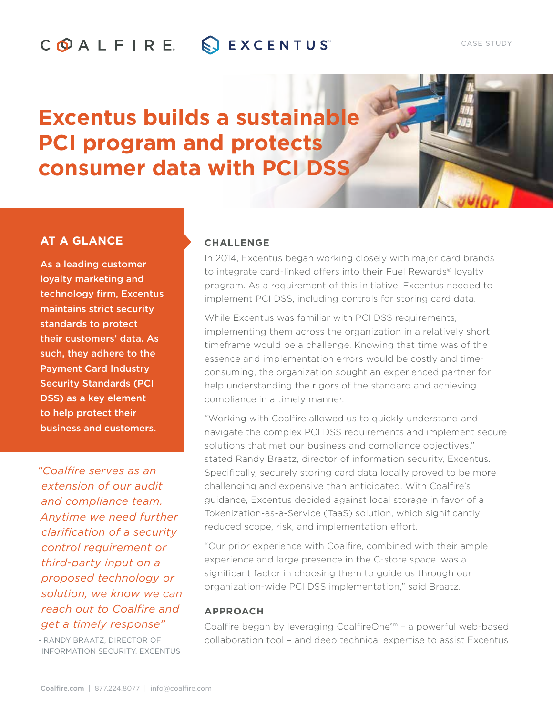# COALFIRE. SEXCENTUS

# **Excentus builds a sustainable PCI program and protects consumer data with PCI DSS**

## **AT A GLANCE**

As a leading customer loyalty marketing and technology firm, Excentus maintains strict security standards to protect their customers' data. As such, they adhere to the Payment Card Industry Security Standards (PCI DSS) as a key element to help protect their business and customers.

*"Coalfire serves as an extension of our audit and compliance team. Anytime we need further clarification of a security control requirement or third-party input on a proposed technology or solution, we know we can reach out to Coalfire and get a timely response"* 

- RANDY BRAATZ, DIRECTOR OF INFORMATION SECURITY, EXCENTUS

#### **CHALLENGE**

In 2014, Excentus began working closely with major card brands to integrate card-linked offers into their Fuel Rewards® loyalty program. As a requirement of this initiative, Excentus needed to implement PCI DSS, including controls for storing card data.

While Excentus was familiar with PCI DSS requirements, implementing them across the organization in a relatively short timeframe would be a challenge. Knowing that time was of the essence and implementation errors would be costly and timeconsuming, the organization sought an experienced partner for help understanding the rigors of the standard and achieving compliance in a timely manner.

"Working with Coalfire allowed us to quickly understand and navigate the complex PCI DSS requirements and implement secure solutions that met our business and compliance objectives," stated Randy Braatz, director of information security, Excentus. Specifically, securely storing card data locally proved to be more challenging and expensive than anticipated. With Coalfire's guidance, Excentus decided against local storage in favor of a Tokenization-as-a-Service (TaaS) solution, which significantly reduced scope, risk, and implementation effort.

"Our prior experience with Coalfire, combined with their ample experience and large presence in the C-store space, was a significant factor in choosing them to guide us through our organization-wide PCI DSS implementation," said Braatz.

#### **APPROACH**

Coalfire began by leveraging CoalfireOnesm – a powerful web-based collaboration tool – and deep technical expertise to assist Excentus